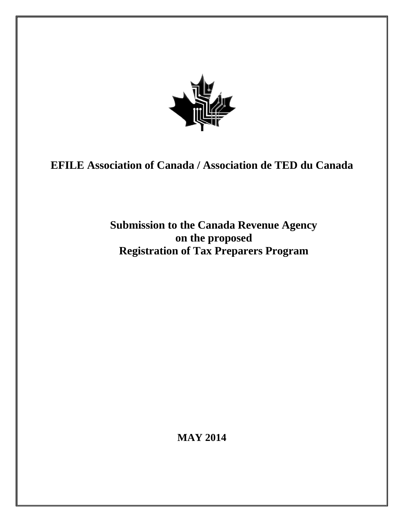

# **EFILE Association of Canada / Association de TED du Canada**

# **Submission to the Canada Revenue Agency on the proposed Registration of Tax Preparers Program**

**MAY 2014**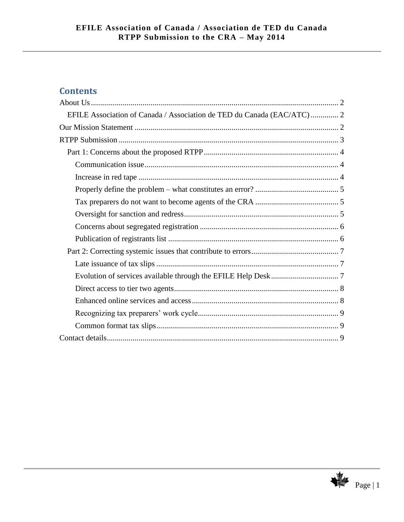# **Contents**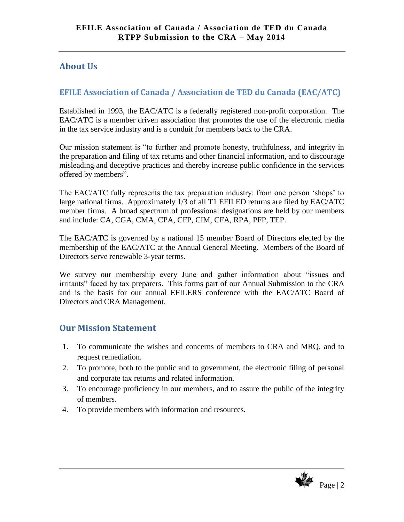# <span id="page-2-0"></span>**About Us**

# <span id="page-2-1"></span>**EFILE Association of Canada / Association de TED du Canada (EAC/ATC)**

Established in 1993, the EAC/ATC is a federally registered non-profit corporation. The EAC/ATC is a member driven association that promotes the use of the electronic media in the tax service industry and is a conduit for members back to the CRA.

Our mission statement is "to further and promote honesty, truthfulness, and integrity in the preparation and filing of tax returns and other financial information, and to discourage misleading and deceptive practices and thereby increase public confidence in the services offered by members".

The EAC/ATC fully represents the tax preparation industry: from one person 'shops' to large national firms. Approximately 1/3 of all T1 EFILED returns are filed by EAC/ATC member firms. A broad spectrum of professional designations are held by our members and include: CA, CGA, CMA, CPA, CFP, CIM, CFA, RPA, PFP, TEP.

The EAC/ATC is governed by a national 15 member Board of Directors elected by the membership of the EAC/ATC at the Annual General Meeting. Members of the Board of Directors serve renewable 3-year terms.

We survey our membership every June and gather information about "issues and irritants" faced by tax preparers. This forms part of our Annual Submission to the CRA and is the basis for our annual EFILERS conference with the EAC/ATC Board of Directors and CRA Management.

# <span id="page-2-2"></span>**Our Mission Statement**

- 1. To communicate the wishes and concerns of members to CRA and MRQ, and to request remediation.
- 2. To promote, both to the public and to government, the electronic filing of personal and corporate tax returns and related information.
- 3. To encourage proficiency in our members, and to assure the public of the integrity of members.
- 4. To provide members with information and resources.

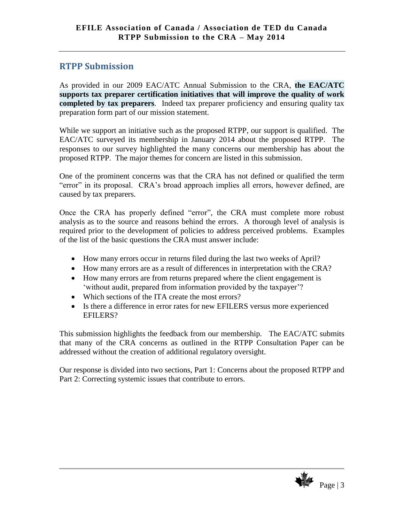# <span id="page-3-0"></span>**RTPP Submission**

As provided in our 2009 EAC/ATC Annual Submission to the CRA, **the EAC/ATC supports tax preparer certification initiatives that will improve the quality of work completed by tax preparers**. Indeed tax preparer proficiency and ensuring quality tax preparation form part of our mission statement.

While we support an initiative such as the proposed RTPP, our support is qualified. The EAC/ATC surveyed its membership in January 2014 about the proposed RTPP. The responses to our survey highlighted the many concerns our membership has about the proposed RTPP. The major themes for concern are listed in this submission.

One of the prominent concerns was that the CRA has not defined or qualified the term "error" in its proposal. CRA's broad approach implies all errors, however defined, are caused by tax preparers.

Once the CRA has properly defined "error", the CRA must complete more robust analysis as to the source and reasons behind the errors. A thorough level of analysis is required prior to the development of policies to address perceived problems. Examples of the list of the basic questions the CRA must answer include:

- How many errors occur in returns filed during the last two weeks of April?
- How many errors are as a result of differences in interpretation with the CRA?
- How many errors are from returns prepared where the client engagement is 'without audit, prepared from information provided by the taxpayer'?
- Which sections of the ITA create the most errors?
- Is there a difference in error rates for new EFILERS versus more experienced EFILERS?

This submission highlights the feedback from our membership. The EAC/ATC submits that many of the CRA concerns as outlined in the RTPP Consultation Paper can be addressed without the creation of additional regulatory oversight.

Our response is divided into two sections, Part 1: Concerns about the proposed RTPP and Part 2: Correcting systemic issues that contribute to errors.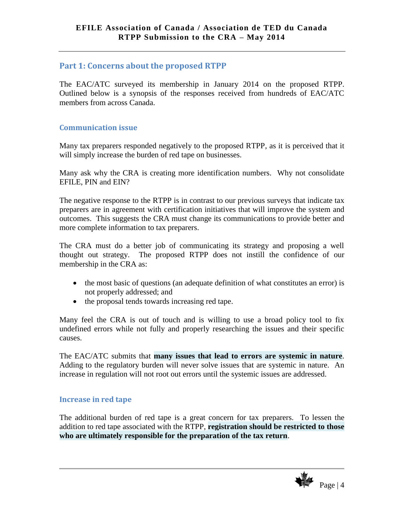## <span id="page-4-0"></span>**Part 1: Concerns about the proposed RTPP**

The EAC/ATC surveyed its membership in January 2014 on the proposed RTPP. Outlined below is a synopsis of the responses received from hundreds of EAC/ATC members from across Canada.

#### <span id="page-4-1"></span>**Communication issue**

Many tax preparers responded negatively to the proposed RTPP, as it is perceived that it will simply increase the burden of red tape on businesses.

Many ask why the CRA is creating more identification numbers. Why not consolidate EFILE, PIN and EIN?

The negative response to the RTPP is in contrast to our previous surveys that indicate tax preparers are in agreement with certification initiatives that will improve the system and outcomes. This suggests the CRA must change its communications to provide better and more complete information to tax preparers.

The CRA must do a better job of communicating its strategy and proposing a well thought out strategy. The proposed RTPP does not instill the confidence of our membership in the CRA as:

- the most basic of questions (an adequate definition of what constitutes an error) is not properly addressed; and
- the proposal tends towards increasing red tape.

Many feel the CRA is out of touch and is willing to use a broad policy tool to fix undefined errors while not fully and properly researching the issues and their specific causes.

The EAC/ATC submits that **many issues that lead to errors are systemic in nature**. Adding to the regulatory burden will never solve issues that are systemic in nature. An increase in regulation will not root out errors until the systemic issues are addressed.

### <span id="page-4-2"></span>**Increase in red tape**

The additional burden of red tape is a great concern for tax preparers. To lessen the addition to red tape associated with the RTPP, **registration should be restricted to those who are ultimately responsible for the preparation of the tax return**.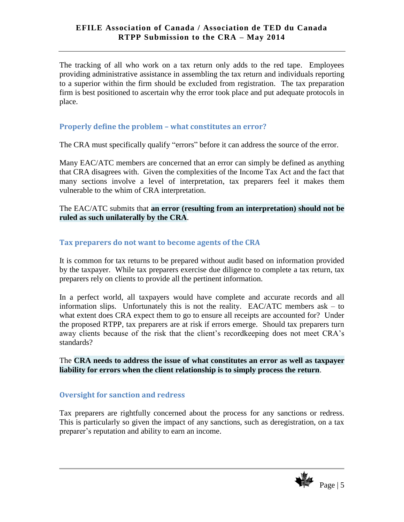The tracking of all who work on a tax return only adds to the red tape. Employees providing administrative assistance in assembling the tax return and individuals reporting to a superior within the firm should be excluded from registration. The tax preparation firm is best positioned to ascertain why the error took place and put adequate protocols in place.

### <span id="page-5-0"></span>**Properly define the problem – what constitutes an error?**

The CRA must specifically qualify "errors" before it can address the source of the error.

Many EAC/ATC members are concerned that an error can simply be defined as anything that CRA disagrees with. Given the complexities of the Income Tax Act and the fact that many sections involve a level of interpretation, tax preparers feel it makes them vulnerable to the whim of CRA interpretation.

The EAC/ATC submits that **an error (resulting from an interpretation) should not be ruled as such unilaterally by the CRA**.

#### <span id="page-5-1"></span>**Tax preparers do not want to become agents of the CRA**

It is common for tax returns to be prepared without audit based on information provided by the taxpayer. While tax preparers exercise due diligence to complete a tax return, tax preparers rely on clients to provide all the pertinent information.

In a perfect world, all taxpayers would have complete and accurate records and all information slips. Unfortunately this is not the reality. EAC/ATC members ask – to what extent does CRA expect them to go to ensure all receipts are accounted for? Under the proposed RTPP, tax preparers are at risk if errors emerge. Should tax preparers turn away clients because of the risk that the client's recordkeeping does not meet CRA's standards?

The **CRA needs to address the issue of what constitutes an error as well as taxpayer liability for errors when the client relationship is to simply process the return**.

#### <span id="page-5-2"></span>**Oversight for sanction and redress**

Tax preparers are rightfully concerned about the process for any sanctions or redress. This is particularly so given the impact of any sanctions, such as deregistration, on a tax preparer's reputation and ability to earn an income.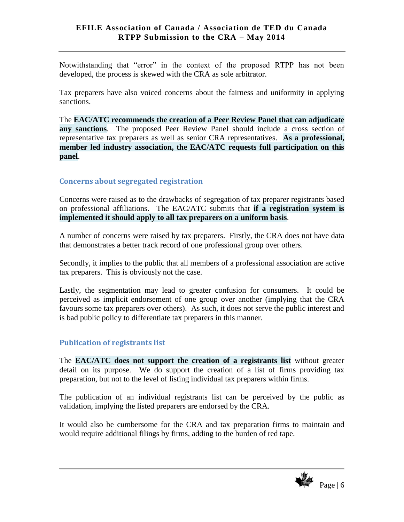Notwithstanding that "error" in the context of the proposed RTPP has not been developed, the process is skewed with the CRA as sole arbitrator.

Tax preparers have also voiced concerns about the fairness and uniformity in applying sanctions.

The **EAC/ATC recommends the creation of a Peer Review Panel that can adjudicate any sanctions**. The proposed Peer Review Panel should include a cross section of representative tax preparers as well as senior CRA representatives. **As a professional, member led industry association, the EAC/ATC requests full participation on this panel**.

### <span id="page-6-0"></span>**Concerns about segregated registration**

Concerns were raised as to the drawbacks of segregation of tax preparer registrants based on professional affiliations. The EAC/ATC submits that **if a registration system is implemented it should apply to all tax preparers on a uniform basis**.

A number of concerns were raised by tax preparers. Firstly, the CRA does not have data that demonstrates a better track record of one professional group over others.

Secondly, it implies to the public that all members of a professional association are active tax preparers. This is obviously not the case.

Lastly, the segmentation may lead to greater confusion for consumers. It could be perceived as implicit endorsement of one group over another (implying that the CRA favours some tax preparers over others). As such, it does not serve the public interest and is bad public policy to differentiate tax preparers in this manner.

### <span id="page-6-1"></span>**Publication of registrants list**

The **EAC/ATC does not support the creation of a registrants list** without greater detail on its purpose. We do support the creation of a list of firms providing tax preparation, but not to the level of listing individual tax preparers within firms.

The publication of an individual registrants list can be perceived by the public as validation, implying the listed preparers are endorsed by the CRA.

It would also be cumbersome for the CRA and tax preparation firms to maintain and would require additional filings by firms, adding to the burden of red tape.

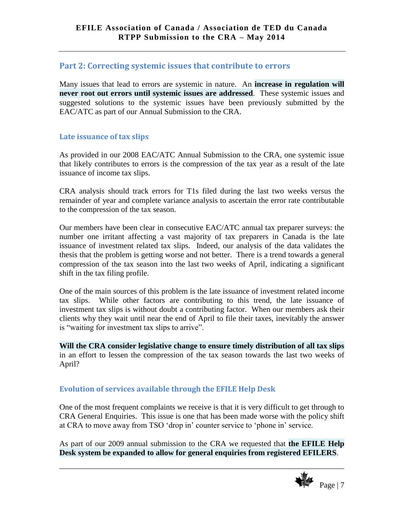### <span id="page-7-0"></span>**Part 2: Correcting systemic issues that contribute to errors**

Many issues that lead to errors are systemic in nature. An **increase in regulation will never root out errors until systemic issues are addressed**. These systemic issues and suggested solutions to the systemic issues have been previously submitted by the EAC/ATC as part of our Annual Submission to the CRA.

## <span id="page-7-1"></span>**Late issuance of tax slips**

As provided in our 2008 EAC/ATC Annual Submission to the CRA, one systemic issue that likely contributes to errors is the compression of the tax year as a result of the late issuance of income tax slips.

CRA analysis should track errors for T1s filed during the last two weeks versus the remainder of year and complete variance analysis to ascertain the error rate contributable to the compression of the tax season.

Our members have been clear in consecutive EAC/ATC annual tax preparer surveys: the number one irritant affecting a vast majority of tax preparers in Canada is the late issuance of investment related tax slips. Indeed, our analysis of the data validates the thesis that the problem is getting worse and not better. There is a trend towards a general compression of the tax season into the last two weeks of April, indicating a significant shift in the tax filing profile.

One of the main sources of this problem is the late issuance of investment related income tax slips. While other factors are contributing to this trend, the late issuance of investment tax slips is without doubt a contributing factor. When our members ask their clients why they wait until near the end of April to file their taxes, inevitably the answer is "waiting for investment tax slips to arrive".

**Will the CRA consider legislative change to ensure timely distribution of all tax slips** in an effort to lessen the compression of the tax season towards the last two weeks of April?

### <span id="page-7-2"></span>**Evolution of services available through the EFILE Help Desk**

One of the most frequent complaints we receive is that it is very difficult to get through to CRA General Enquiries. This issue is one that has been made worse with the policy shift at CRA to move away from TSO 'drop in' counter service to 'phone in' service.

As part of our 2009 annual submission to the CRA we requested that **the EFILE Help Desk system be expanded to allow for general enquiries from registered EFILERS**.

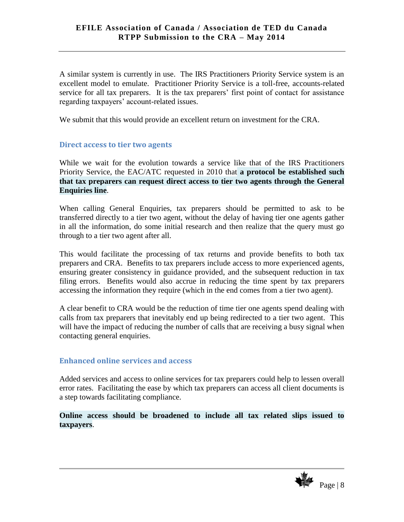A similar system is currently in use. The IRS Practitioners Priority Service system is an excellent model to emulate. Practitioner Priority Service is a toll-free, accounts-related service for all tax preparers. It is the tax preparers' first point of contact for assistance regarding taxpayers' account-related issues.

We submit that this would provide an excellent return on investment for the CRA.

#### <span id="page-8-0"></span>**Direct access to tier two agents**

While we wait for the evolution towards a service like that of the IRS Practitioners Priority Service, the EAC/ATC requested in 2010 that **a protocol be established such that tax preparers can request direct access to tier two agents through the General Enquiries line**.

When calling General Enquiries, tax preparers should be permitted to ask to be transferred directly to a tier two agent, without the delay of having tier one agents gather in all the information, do some initial research and then realize that the query must go through to a tier two agent after all.

This would facilitate the processing of tax returns and provide benefits to both tax preparers and CRA. Benefits to tax preparers include access to more experienced agents, ensuring greater consistency in guidance provided, and the subsequent reduction in tax filing errors. Benefits would also accrue in reducing the time spent by tax preparers accessing the information they require (which in the end comes from a tier two agent).

A clear benefit to CRA would be the reduction of time tier one agents spend dealing with calls from tax preparers that inevitably end up being redirected to a tier two agent. This will have the impact of reducing the number of calls that are receiving a busy signal when contacting general enquiries.

#### <span id="page-8-1"></span>**Enhanced online services and access**

Added services and access to online services for tax preparers could help to lessen overall error rates. Facilitating the ease by which tax preparers can access all client documents is a step towards facilitating compliance.

**Online access should be broadened to include all tax related slips issued to taxpayers**.